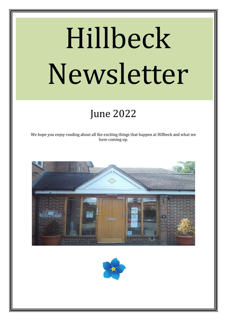# Hillbeck Newsletter

# June 2022

We hope you enjoy reading about all the exciting things that happen at Hillbeck and what we have coming up.



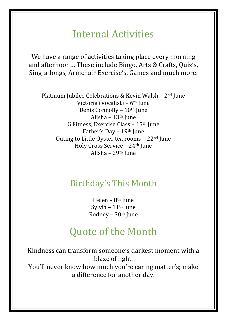## Internal Activities

We have a range of activities taking place every morning and afternoon… These include Bingo, Arts & Crafts, Quiz's, Sing-a-longs, Armchair Exercise's, Games and much more.

Platinum Jubilee Celebrations & Kevin Walsh – 2nd June Victoria (Vocalist) – 6th June Denis Connolly - 10<sup>th</sup> June Alisha –  $13<sup>th</sup>$  June G Fitness, Exercise Class – 15th June Father's Day – 19th June Outing to Little Oyster tea rooms – 22nd June Holy Cross Service – 24th June Alisha – 29th June

#### Birthday's This Month

Helen – 8th June Sylvia - 11<sup>th</sup> June Rodney – 30th June

### Quote of the Month

Kindness can transform someone's darkest moment with a blaze of light. You'll never know how much you're caring matter's; make a difference for another day.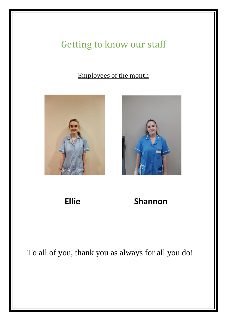## Getting to know our staff

#### Employees of the month





**Ellie Shannon**

To all of you, thank you as always for all you do!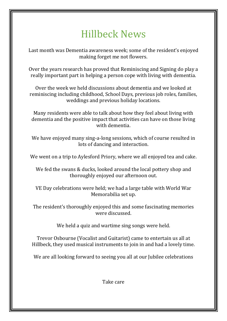## Hillbeck News

Last month was Dementia awareness week; some of the resident's enjoyed making forget me not flowers.

Over the years research has proved that Reminiscing and Signing do play a really important part in helping a person cope with living with dementia.

Over the week we held discussions about dementia and we looked at reminiscing including childhood, School Days, previous job roles, families, weddings and previous holiday locations.

Many residents were able to talk about how they feel about living with dementia and the positive impact that activities can have on those living with dementia.

We have enjoyed many sing-a-long sessions, which of course resulted in lots of dancing and interaction.

We went on a trip to Aylesford Priory, where we all enjoyed tea and cake.

We fed the swans & ducks, looked around the local pottery shop and thoroughly enjoyed our afternoon out.

VE Day celebrations were held; we had a large table with World War Memorabilia set up.

The resident's thoroughly enjoyed this and some fascinating memories were discussed.

We held a quiz and wartime sing songs were held.

Trevor Osbourne (Vocalist and Guitarist) came to entertain us all at Hillbeck, they used musical instruments to join in and had a lovely time.

We are all looking forward to seeing you all at our Jubilee celebrations

Take care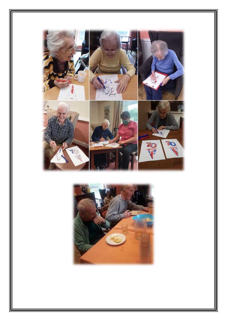